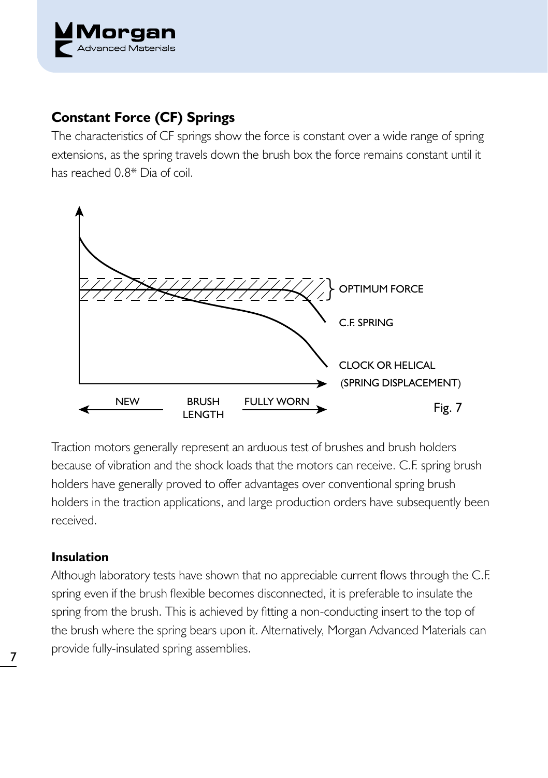

## **Constant Force (CF) Springs**

The characteristics of CF springs show the force is constant over a wide range of spring extensions, as the spring travels down the brush box the force remains constant until it has reached 0.8\* Dia of coil.



Traction motors generally represent an arduous test of brushes and brush holders because of vibration and the shock loads that the motors can receive. C.F. spring brush holders have generally proved to offer advantages over conventional spring brush holders in the traction applications, and large production orders have subsequently been received.

## **Insulation**

Although laboratory tests have shown that no appreciable current flows through the C.F. spring even if the brush flexible becomes disconnected, it is preferable to insulate the spring from the brush. This is achieved by fitting a non-conducting insert to the top of the brush where the spring bears upon it. Alternatively, Morgan Advanced Materials can provide fully-insulated spring assemblies. <sup>7</sup>